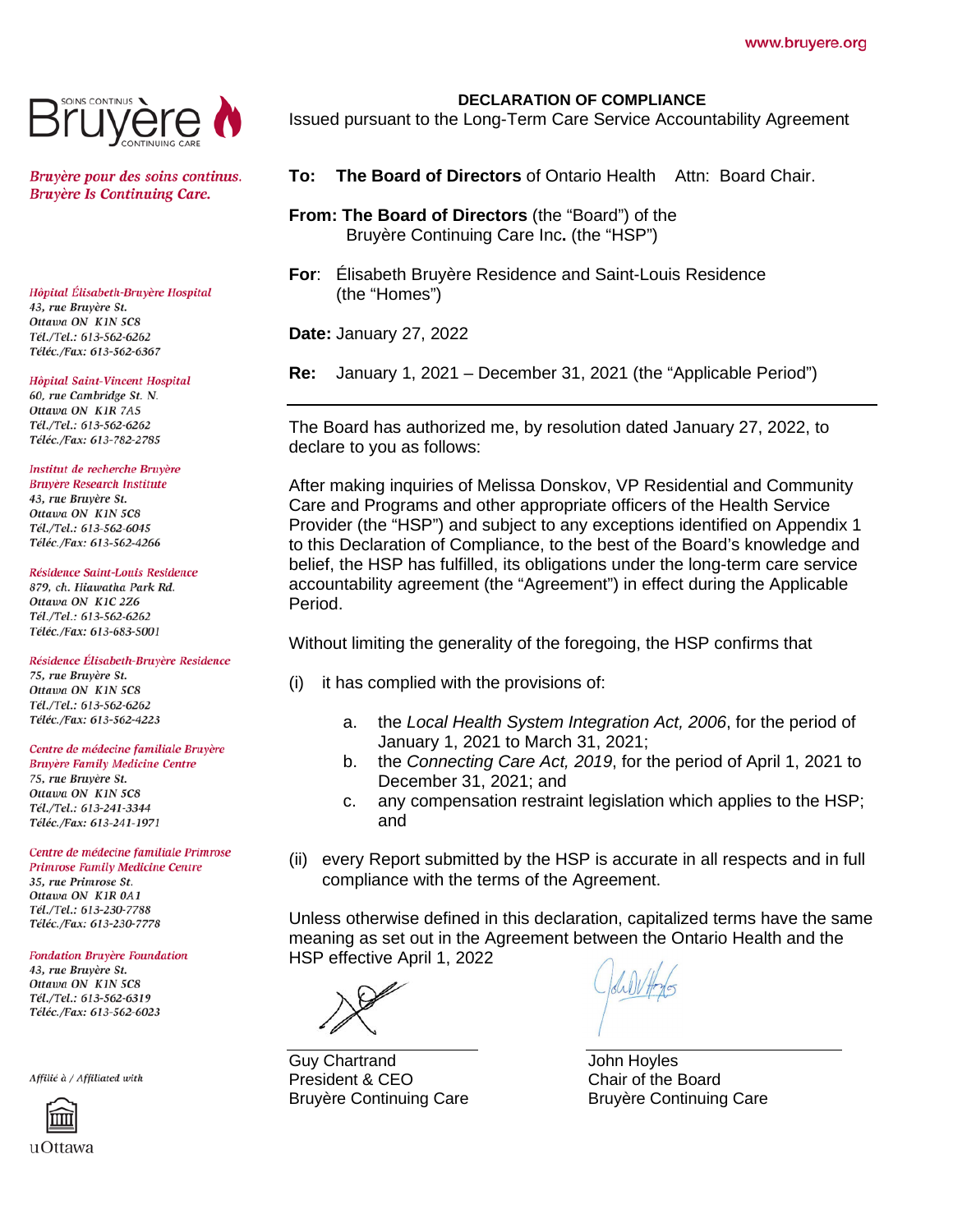

Bruyère pour des soins continus. **Bruyère Is Continuing Care.** 

Hôpital Élisabeth-Bruyère Hospital 43, rue Bruyère St. Ottawa ON K1N 5C8 Tél./Tel.: 613-562-6262 Téléc./Fax: 613-562-6367

#### Hôpital Saint-Vincent Hospital

60, rue Cambridge St. N. Ottawa ON KIR 7A5 Tél./Tel.: 613-562-6262 Téléc./Fax: 613-782-2785

# Institut de recherche Bruvère

**Bruyère Research Institute** 43, rue Bruyère St. Ottawa ON K1N 5C8 Tél./Tel.: 613-562-6045 Téléc./Fax: 613-562-4266

## Résidence Saint-Louis Residence

879, ch. Hiawatha Park Rd. Ottawa ON K1C 2Z6 Tél./Tel.: 613-562-6262 Téléc./Fax: 613-683-5001

Résidence Élisabeth-Bruyère Residence

75, rue Bruvère St. Ottawa ON KIN 5C8 Tél./Tel.: 613-562-6262 Téléc./Fax: 613-562-4223

## Centre de médecine familiale Bruyère

Bruyère Family Medicine Centre 75, rue Bruyère St. Ottawa ON KIN 5C8 Tél./Tel.: 613-241-3344 Téléc./Fax: 613-241-1971

Centre de médecine familiale Primrose **Primrose Family Medicine Centre** 35, rue Primrose St. Ottawa ON KIR 0A1 Tél./Tel.: 613-230-7788 Téléc./Fax: 613-230-7778

## **Fondation Bruyère Foundation**

43, rue Bruyère St. Ottawa ON K1N 5C8 Tél./Tel.: 613-562-6319 Téléc./Fax: 613-562-6023

Affilié à / Affiliated with



# **DECLARATION OF COMPLIANCE**

Issued pursuant to the Long-Term Care Service Accountability Agreement

- **To: The Board of Directors** of Ontario Health Attn: Board Chair.
- **From: The Board of Directors** (the "Board") of the Bruyère Continuing Care Inc**.** (the "HSP")
- **For**: Élisabeth Bruyère Residence and Saint-Louis Residence (the "Homes")

**Date:** January 27, 2022

**Re:** January 1, 2021 – December 31, 2021 (the "Applicable Period")

The Board has authorized me, by resolution dated January 27, 2022, to declare to you as follows:

After making inquiries of Melissa Donskov, VP Residential and Community Care and Programs and other appropriate officers of the Health Service Provider (the "HSP") and subject to any exceptions identified on Appendix 1 to this Declaration of Compliance, to the best of the Board's knowledge and belief, the HSP has fulfilled, its obligations under the long-term care service accountability agreement (the "Agreement") in effect during the Applicable Period.

Without limiting the generality of the foregoing, the HSP confirms that

- (i) it has complied with the provisions of:
	- a. the *Local Health System Integration Act, 2006*, for the period of January 1, 2021 to March 31, 2021;
	- b. the *Connecting Care Act, 2019*, for the period of April 1, 2021 to December 31, 2021; and
	- c. any compensation restraint legislation which applies to the HSP; and
- (ii) every Report submitted by the HSP is accurate in all respects and in full compliance with the terms of the Agreement.

Unless otherwise defined in this declaration, capitalized terms have the same meaning as set out in the Agreement between the Ontario Health and the HSP effective April 1, 2022

Guy Chartrand President & CEO Bruyère Continuing Care

John Hoyles Chair of the Board Bruyère Continuing Care